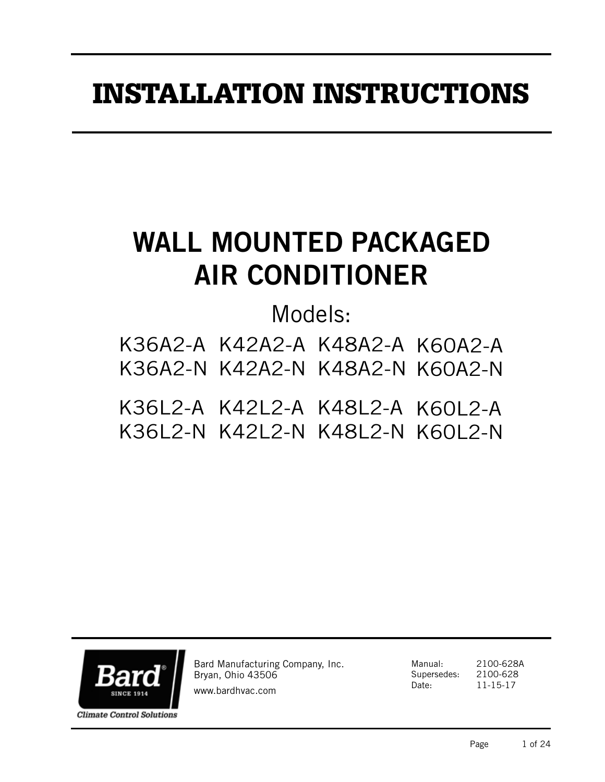# INSTALLATION INSTRUCTIONS

# WALL MOUNTED PACKAGED AIR CONDITIONER

Models:

K36A2-A K42A2-A K48A2-A K60A2-A K36A2-N K42A2-N K48A2-N K60A2-N

K36L2-A K42L2-A K48L2-A K60L2-A K36L2-N K42L2-N K48L2-N K60L2-N



Bard Manufacturing Company, Inc. Bryan, Ohio 43506

www.bardhvac.com

Manual: 2100-628A Supersedes: 2100-628 Date: 11-15-17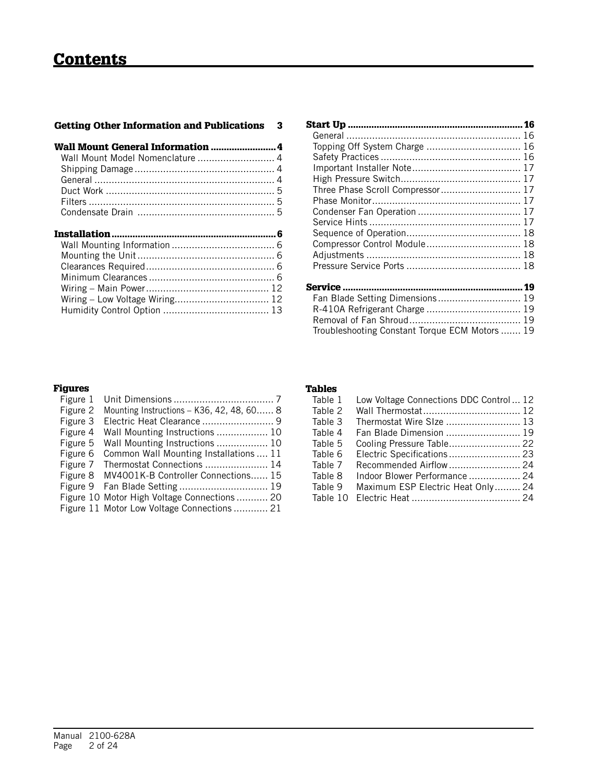| <b>Getting Other Information and Publications</b> | 3 |
|---------------------------------------------------|---|
|                                                   |   |
|                                                   |   |
|                                                   |   |
|                                                   |   |
|                                                   |   |
|                                                   |   |
|                                                   |   |
|                                                   |   |
|                                                   |   |
|                                                   |   |
|                                                   |   |
|                                                   |   |
|                                                   |   |
| Wiring - Low Voltage Wiring 12                    |   |

| Topping Off System Charge  16                  |  |
|------------------------------------------------|--|
|                                                |  |
|                                                |  |
|                                                |  |
| Three Phase Scroll Compressor 17               |  |
|                                                |  |
|                                                |  |
|                                                |  |
|                                                |  |
| Compressor Control Module 18                   |  |
|                                                |  |
|                                                |  |
|                                                |  |
|                                                |  |
| Fan Blade Setting Dimensions 19                |  |
| R-410A Refrigerant Charge  19                  |  |
|                                                |  |
| Troubleshooting Constant Torque ECM Motors  19 |  |

# Figures

| Figure 1 |                                              |
|----------|----------------------------------------------|
| Figure 2 | Mounting Instructions - K36, 42, 48, 60 8    |
| Figure 3 | Electric Heat Clearance  9                   |
| Figure 4 | Wall Mounting Instructions  10               |
| Figure 5 | Wall Mounting Instructions  10               |
| Figure 6 | Common Wall Mounting Installations  11       |
| Figure 7 | Thermostat Connections  14                   |
|          | Figure 8 MV4001K-B Controller Connections 15 |
|          |                                              |
|          | Figure 10 Motor High Voltage Connections 20  |
|          | Figure 11 Motor Low Voltage Connections 21   |

#### Tables

| Table 1  | Low Voltage Connections DDC Control 12 |  |
|----------|----------------------------------------|--|
| Table 2  |                                        |  |
| Table 3  | Thermostat Wire SIze  13               |  |
| Table 4  | Fan Blade Dimension  19                |  |
| Table 5  |                                        |  |
| Table 6  | Electric Specifications 23             |  |
| Table 7  | Recommended Airflow 24                 |  |
| Table 8  | Indoor Blower Performance  24          |  |
| Table 9  | Maximum ESP Electric Heat Only 24      |  |
| Table 10 |                                        |  |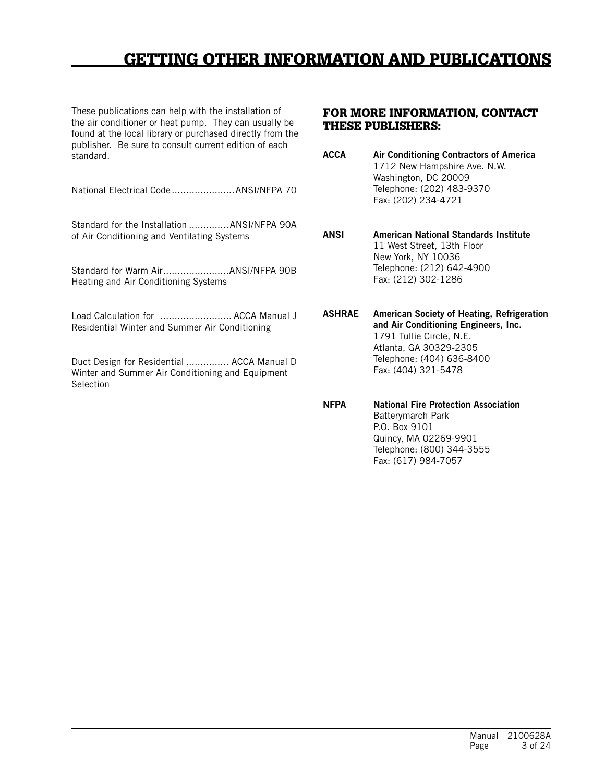# GETTING OTHER INFORMATION AND PUBLICATIONS

These publications can help with the installation of the air conditioner or heat pump. They can usually be found at the local library or purchased directly from the publisher. Be sure to consult current edition of each standard.

National Electrical Code......................ANSI/NFPA 70

Standard for the Installation ..............ANSI/NFPA 90A of Air Conditioning and Ventilating Systems

Standard for Warm Air.......................ANSI/NFPA 90B Heating and Air Conditioning Systems

Load Calculation for ......................... ACCA Manual J Residential Winter and Summer Air Conditioning

Duct Design for Residential ............... ACCA Manual D Winter and Summer Air Conditioning and Equipment **Selection** 

#### FOR MORE INFORMATION, CONTACT THESE PUBLISHERS:

ACCA Air Conditioning Contractors of America 1712 New Hampshire Ave. N.W. Washington, DC 20009 Telephone: (202) 483-9370 Fax: (202) 234-4721

ANSI American National Standards Institute 11 West Street, 13th Floor New York, NY 10036 Telephone: (212) 642-4900 Fax: (212) 302-1286

ASHRAE American Society of Heating, Refrigeration and Air Conditioning Engineers, Inc. 1791 Tullie Circle, N.E. Atlanta, GA 30329-2305 Telephone: (404) 636-8400 Fax: (404) 321-5478

NFPA National Fire Protection Association Batterymarch Park P.O. Box 9101 Quincy, MA 02269-9901 Telephone: (800) 344-3555 Fax: (617) 984-7057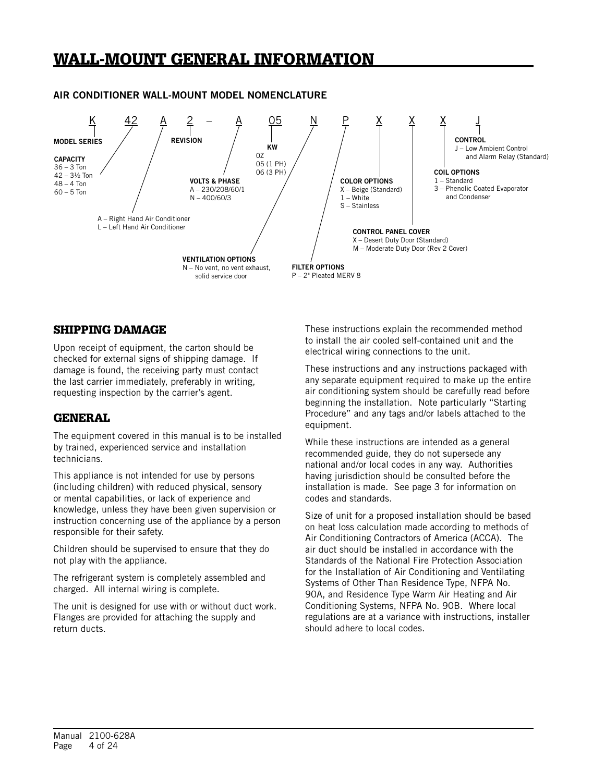# WALL-MOUNT GENERAL INFORMATION

#### K 42 A 2 – A 05 N P X X X J KW 0Z 05 (1 PH) 06 (3 PH) MODEL SERIES  $\qquad$  / REVISION /  $\frac{1}{2}$  / / | | | CONTROL J – Low Ambient Control and Alarm Relay (Standard) VOLTS & PHASE A – 230/208/60/1 N – 400/60/3 REVISION VENTILATION OPTIONS N – No vent, no vent exhaust, solid service door FILTER OPTIONS P – 2" Pleated MERV 8 COLOR OPTIONS X – Beige (Standard) 1 – White S – Stainless COIL OPTIONS 1 – Standard 3 – Phenolic Coated Evaporator and Condenser CONTROL PANEL COVER X – Desert Duty Door (Standard) M – Moderate Duty Door (Rev 2 Cover) **CAPACITY** 36 – 3 Ton 42 – 3½ Ton  $48 - 4$  Ton  $60 - 5$  Ton A – Right Hand Air Conditioner L – Left Hand Air Conditioner

### AIR CONDITIONER WALL-MOUNT MODEL NOMENCLATURE

# SHIPPING DAMAGE

Upon receipt of equipment, the carton should be checked for external signs of shipping damage. If damage is found, the receiving party must contact the last carrier immediately, preferably in writing, requesting inspection by the carrier's agent.

# GENERAL

The equipment covered in this manual is to be installed by trained, experienced service and installation technicians.

This appliance is not intended for use by persons (including children) with reduced physical, sensory or mental capabilities, or lack of experience and knowledge, unless they have been given supervision or instruction concerning use of the appliance by a person responsible for their safety.

Children should be supervised to ensure that they do not play with the appliance.

The refrigerant system is completely assembled and charged. All internal wiring is complete.

The unit is designed for use with or without duct work. Flanges are provided for attaching the supply and return ducts.

These instructions explain the recommended method to install the air cooled self-contained unit and the electrical wiring connections to the unit.

These instructions and any instructions packaged with any separate equipment required to make up the entire air conditioning system should be carefully read before beginning the installation. Note particularly "Starting Procedure" and any tags and/or labels attached to the equipment.

While these instructions are intended as a general recommended guide, they do not supersede any national and/or local codes in any way. Authorities having jurisdiction should be consulted before the installation is made. See page 3 for information on codes and standards.

Size of unit for a proposed installation should be based on heat loss calculation made according to methods of Air Conditioning Contractors of America (ACCA). The air duct should be installed in accordance with the Standards of the National Fire Protection Association for the Installation of Air Conditioning and Ventilating Systems of Other Than Residence Type, NFPA No. 90A, and Residence Type Warm Air Heating and Air Conditioning Systems, NFPA No. 90B. Where local regulations are at a variance with instructions, installer should adhere to local codes.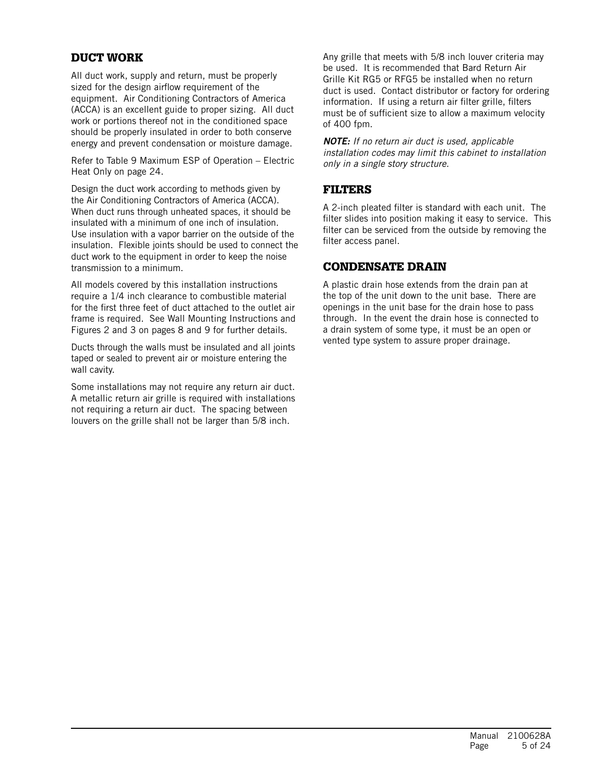# DUCT WORK

All duct work, supply and return, must be properly sized for the design airflow requirement of the equipment. Air Conditioning Contractors of America (ACCA) is an excellent guide to proper sizing. All duct work or portions thereof not in the conditioned space should be properly insulated in order to both conserve energy and prevent condensation or moisture damage.

Refer to Table 9 Maximum ESP of Operation – Electric Heat Only on page 24.

Design the duct work according to methods given by the Air Conditioning Contractors of America (ACCA). When duct runs through unheated spaces, it should be insulated with a minimum of one inch of insulation. Use insulation with a vapor barrier on the outside of the insulation. Flexible joints should be used to connect the duct work to the equipment in order to keep the noise transmission to a minimum.

All models covered by this installation instructions require a 1/4 inch clearance to combustible material for the first three feet of duct attached to the outlet air frame is required. See Wall Mounting Instructions and Figures 2 and 3 on pages 8 and 9 for further details.

Ducts through the walls must be insulated and all joints taped or sealed to prevent air or moisture entering the wall cavity.

Some installations may not require any return air duct. A metallic return air grille is required with installations not requiring a return air duct. The spacing between louvers on the grille shall not be larger than 5/8 inch.

Any grille that meets with 5/8 inch louver criteria may be used. It is recommended that Bard Return Air Grille Kit RG5 or RFG5 be installed when no return duct is used. Contact distributor or factory for ordering information. If using a return air filter grille, filters must be of sufficient size to allow a maximum velocity of 400 fpm.

*NOTE: If no return air duct is used, applicable installation codes may limit this cabinet to installation only in a single story structure.*

### FILTERS

A 2-inch pleated filter is standard with each unit. The filter slides into position making it easy to service. This filter can be serviced from the outside by removing the filter access panel.

# CONDENSATE DRAIN

A plastic drain hose extends from the drain pan at the top of the unit down to the unit base. There are openings in the unit base for the drain hose to pass through. In the event the drain hose is connected to a drain system of some type, it must be an open or vented type system to assure proper drainage.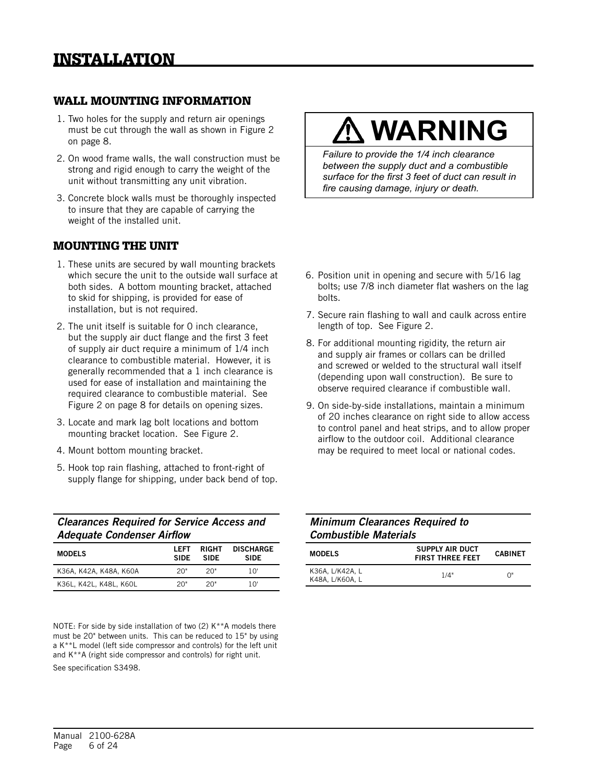### WALL MOUNTING INFORMATION

- 1. Two holes for the supply and return air openings must be cut through the wall as shown in Figure 2 on page 8.
- 2. On wood frame walls, the wall construction must be strong and rigid enough to carry the weight of the unit without transmitting any unit vibration.
- 3. Concrete block walls must be thoroughly inspected to insure that they are capable of carrying the weight of the installed unit.

### MOUNTING THE UNIT

- 1. These units are secured by wall mounting brackets which secure the unit to the outside wall surface at both sides. A bottom mounting bracket, attached to skid for shipping, is provided for ease of installation, but is not required.
- 2. The unit itself is suitable for 0 inch clearance, but the supply air duct flange and the first 3 feet of supply air duct require a minimum of 1/4 inch clearance to combustible material. However, it is generally recommended that a 1 inch clearance is used for ease of installation and maintaining the required clearance to combustible material. See Figure 2 on page 8 for details on opening sizes.
- 3. Locate and mark lag bolt locations and bottom mounting bracket location. See Figure 2.
- 4. Mount bottom mounting bracket.
- 5. Hook top rain flashing, attached to front-right of supply flange for shipping, under back bend of top.

| <b>Clearances Required for Service Access and</b> |
|---------------------------------------------------|
| <b>Adequate Condenser Airflow</b>                 |

| <b>MODELS</b>          | LEFT<br><b>SIDE</b> | <b>RIGHT</b><br><b>SIDE</b> | <b>DISCHARGE</b><br>SIDE |
|------------------------|---------------------|-----------------------------|--------------------------|
| K36A, K42A, K48A, K60A | 20"                 | 20"                         | 1 $\cap$ '               |
| K36L, K42L, K48L, K60L | 20"                 | 20"                         | 10'                      |

NOTE: For side by side installation of two (2) K\*\*A models there must be 20" between units. This can be reduced to 15" by using a K\*\*L model (left side compressor and controls) for the left unit and K\*\*A (right side compressor and controls) for right unit. See specification S3498.

# **WARNING**

*Failure to provide the 1/4 inch clearance between the supply duct and a combustible surface for the first 3 feet of duct can result in fire causing damage, injury or death.*

- 6. Position unit in opening and secure with 5/16 lag bolts; use 7/8 inch diameter flat washers on the lag bolts.
- 7. Secure rain flashing to wall and caulk across entire length of top. See Figure 2.
- 8. For additional mounting rigidity, the return air and supply air frames or collars can be drilled and screwed or welded to the structural wall itself (depending upon wall construction). Be sure to observe required clearance if combustible wall.
- 9. On side-by-side installations, maintain a minimum of 20 inches clearance on right side to allow access to control panel and heat strips, and to allow proper airflow to the outdoor coil. Additional clearance may be required to meet local or national codes.

| <b>Minimum Clearances Required to</b> |
|---------------------------------------|
| <b>Combustible Materials</b>          |

| <b>MODELS</b>                      | <b>SUPPLY AIR DUCT</b><br><b>FIRST THREE FEET</b> | <b>CABINET</b> |  |
|------------------------------------|---------------------------------------------------|----------------|--|
| K36A. L/K42A. L<br>K48A. L/K60A. L | 1/4"                                              | ባ"             |  |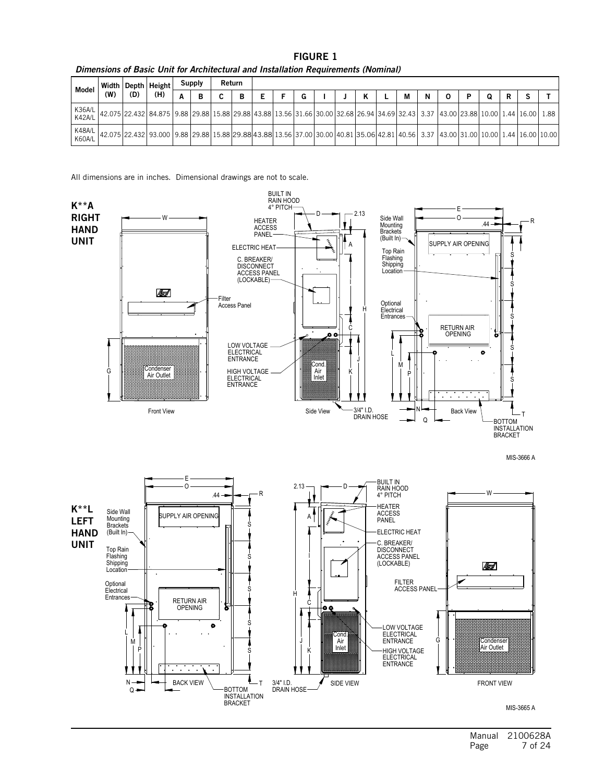| Model                   |     |     | Width   Depth   Height                                                                                                                |   | Supply | Return |   |  |  |  |   |   |   |   |  |  |
|-------------------------|-----|-----|---------------------------------------------------------------------------------------------------------------------------------------|---|--------|--------|---|--|--|--|---|---|---|---|--|--|
|                         | (W) | (D) | (H)                                                                                                                                   | A | в      |        | в |  |  |  | м | N | D | Q |  |  |
| K36A/L<br><b>K42A/L</b> |     |     | 42.075 22.432 84.875 9.88 29.88 15.88 29.88 43.88 15.56 31.66 30.00 32.68 26.94 34.69 32.43 3.37 43.00 23.88 10.00 1.44 16.00 1.88    |   |        |        |   |  |  |  |   |   |   |   |  |  |
| K48A/L<br>K60A/L        |     |     | 42.075 22.432 93.000 9.88 29.88 15.88 29.88 43.88 13.56 37.00 30.00 40.81 35.06 42.81 40.56 3.37 43.00 31.00 10.00 1.44 16.00 10.00 1 |   |        |        |   |  |  |  |   |   |   |   |  |  |

FIGURE 1

*Dimensions of Basic Unit for Architectural and Installation Requirements (Nominal)*

All dimensions are in inches. Dimensional drawings are not to scale.



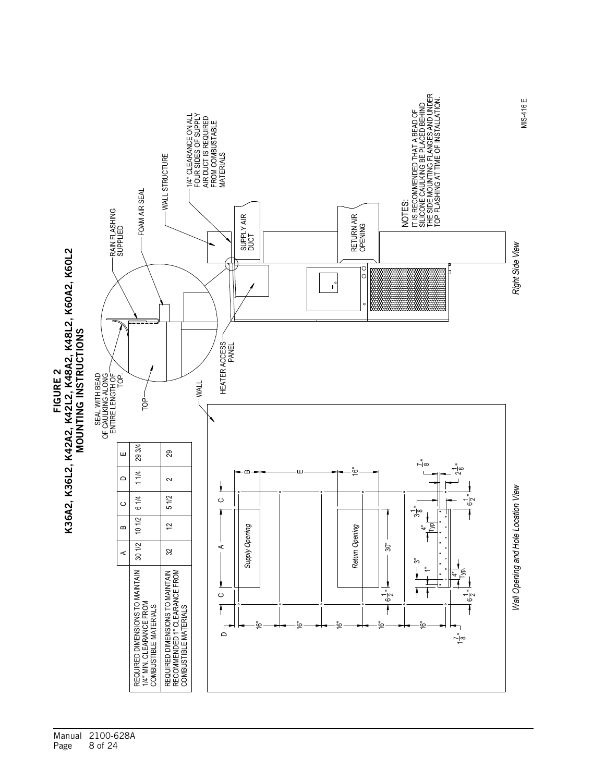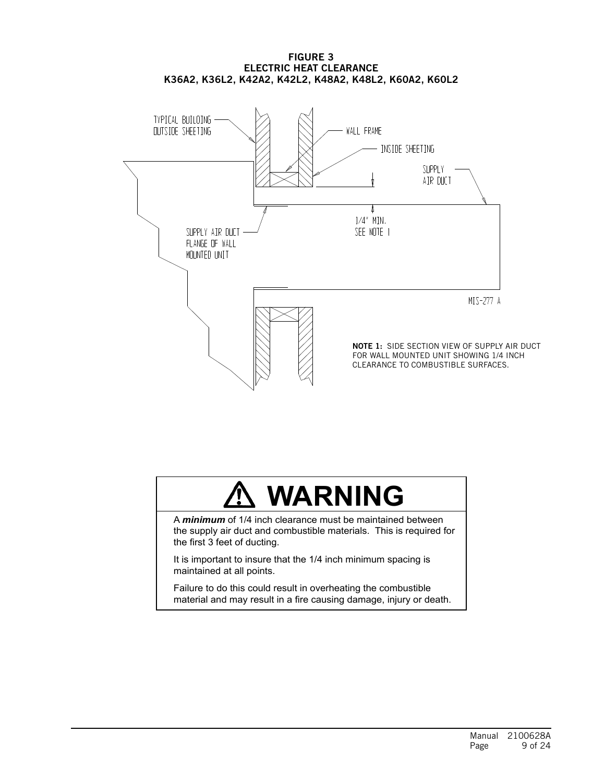

# FIGURE 3 ELECTRIC HEAT CLEARANCE

# **WARNING**

A *minimum* of 1/4 inch clearance must be maintained between the supply air duct and combustible materials. This is required for the first 3 feet of ducting.

It is important to insure that the 1/4 inch minimum spacing is maintained at all points.

Failure to do this could result in overheating the combustible material and may result in a fire causing damage, injury or death.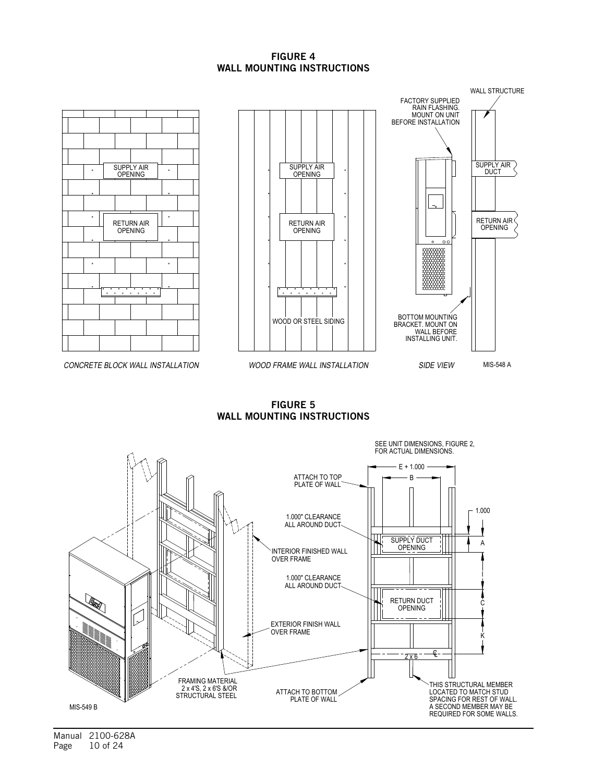#### FIGURE 4 WALL MOUNTING INSTRUCTIONS



CONCRETE BLOCK WALL INSTALLATION





FIGURE 5

WALL MOUNTING INSTRUCTIONS



Manual 2100-628A Page 10 of 24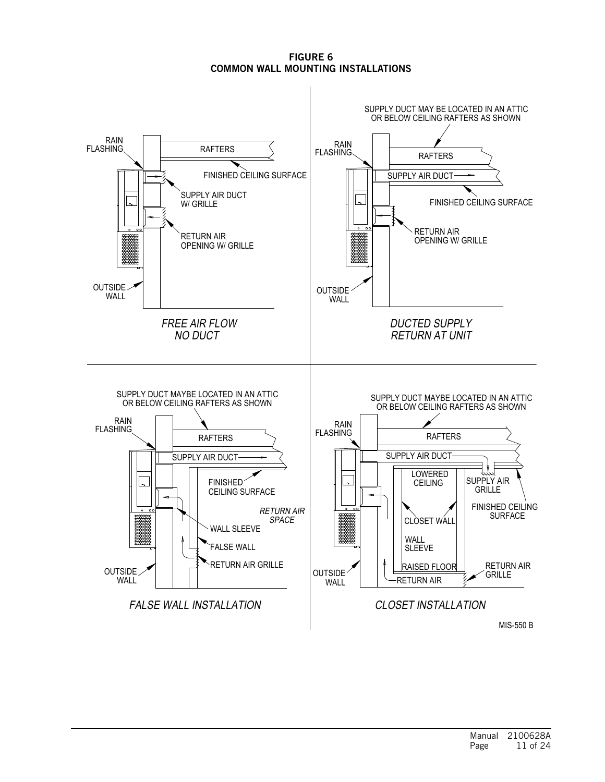FIGURE 6 COMMON WALL MOUNTING INSTALLATIONS

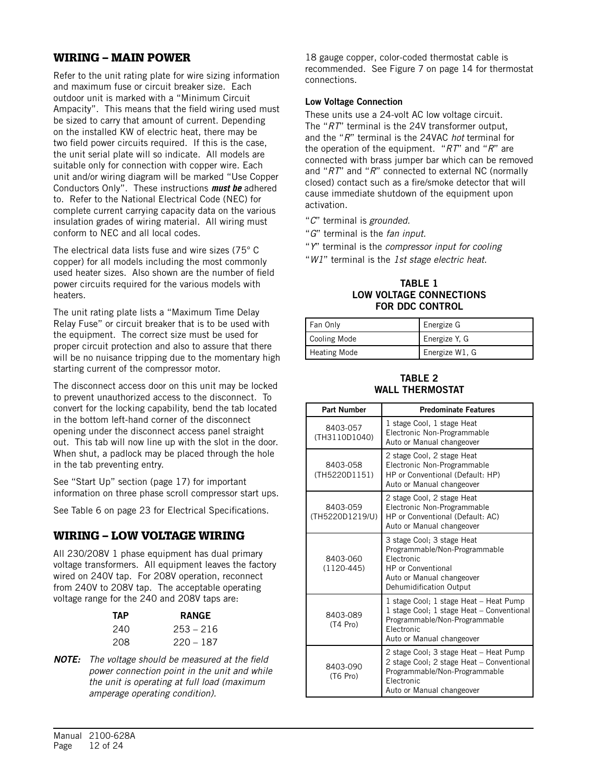# WIRING – MAIN POWER

Refer to the unit rating plate for wire sizing information and maximum fuse or circuit breaker size. Each outdoor unit is marked with a "Minimum Circuit Ampacity". This means that the field wiring used must be sized to carry that amount of current. Depending on the installed KW of electric heat, there may be two field power circuits required. If this is the case, the unit serial plate will so indicate. All models are suitable only for connection with copper wire. Each unit and/or wiring diagram will be marked "Use Copper Conductors Only". These instructions *must be* adhered to. Refer to the National Electrical Code (NEC) for complete current carrying capacity data on the various insulation grades of wiring material. All wiring must conform to NEC and all local codes.

The electrical data lists fuse and wire sizes (75° C copper) for all models including the most commonly used heater sizes. Also shown are the number of field power circuits required for the various models with heaters.

The unit rating plate lists a "Maximum Time Delay Relay Fuse" or circuit breaker that is to be used with the equipment. The correct size must be used for proper circuit protection and also to assure that there will be no nuisance tripping due to the momentary high starting current of the compressor motor.

The disconnect access door on this unit may be locked to prevent unauthorized access to the disconnect. To convert for the locking capability, bend the tab located in the bottom left-hand corner of the disconnect opening under the disconnect access panel straight out. This tab will now line up with the slot in the door. When shut, a padlock may be placed through the hole in the tab preventing entry.

See "Start Up" section (page 17) for important information on three phase scroll compressor start ups.

See Table 6 on page 23 for Electrical Specifications.

### WIRING – LOW VOLTAGE WIRING

All 230/208V 1 phase equipment has dual primary voltage transformers. All equipment leaves the factory wired on 240V tap. For 208V operation, reconnect from 240V to 208V tap. The acceptable operating voltage range for the 240 and 208V taps are:

| ТАР | <b>RANGE</b> |
|-----|--------------|
| 240 | 253 – 216    |
| 208 | $220 - 187$  |

*NOTE: The voltage should be measured at the field power connection point in the unit and while the unit is operating at full load (maximum amperage operating condition).*

18 gauge copper, color-coded thermostat cable is recommended. See Figure 7 on page 14 for thermostat connections.

#### Low Voltage Connection

These units use a 24-volt AC low voltage circuit. The "*RT*" terminal is the 24V transformer output, and the "*R*" terminal is the 24VAC *hot* terminal for the operation of the equipment. "*RT*" and "*R*" are connected with brass jumper bar which can be removed and "*RT*" and "*R*" connected to external NC (normally closed) contact such as a fire/smoke detector that will cause immediate shutdown of the equipment upon activation.

"*C*" terminal is *grounded*.

- "*G*" terminal is the *fan input*.
- "*Y*" terminal is the *compressor input for cooling*
- "*W1*" terminal is the *1st stage electric heat*.

#### TABLE 1 LOW VOLTAGE CONNECTIONS FOR DDC CONTROL

| Fan Only            | Energize G     |
|---------------------|----------------|
| Cooling Mode        | Energize Y, G  |
| <b>Heating Mode</b> | Energize W1, G |

#### TABLE 2 WALL THERMOSTAT

| <b>Part Number</b>          | <b>Predominate Features</b>                                                                                                                                     |
|-----------------------------|-----------------------------------------------------------------------------------------------------------------------------------------------------------------|
| 8403-057<br>(TH3110D1040)   | 1 stage Cool, 1 stage Heat<br>Electronic Non-Programmable<br>Auto or Manual changeover                                                                          |
| 8403-058<br>(TH5220D1151)   | 2 stage Cool, 2 stage Heat<br>Electronic Non-Programmable<br>HP or Conventional (Default: HP)<br>Auto or Manual changeover                                      |
| 8403-059<br>(TH5220D1219/U) | 2 stage Cool, 2 stage Heat<br>Electronic Non-Programmable<br>HP or Conventional (Default: AC)<br>Auto or Manual changeover                                      |
| 8403-060<br>$(1120-445)$    | 3 stage Cool; 3 stage Heat<br>Programmable/Non-Programmable<br>Electronic<br><b>HP</b> or Conventional<br>Auto or Manual changeover<br>Dehumidification Output  |
| 8403-089<br>(T4 Pro)        | 1 stage Cool; 1 stage Heat – Heat Pump<br>1 stage Cool; 1 stage Heat - Conventional<br>Programmable/Non-Programmable<br>Electronic<br>Auto or Manual changeover |
| 8403-090<br>(T6 Pro)        | 2 stage Cool; 3 stage Heat - Heat Pump<br>2 stage Cool; 2 stage Heat - Conventional<br>Programmable/Non-Programmable<br>Electronic<br>Auto or Manual changeover |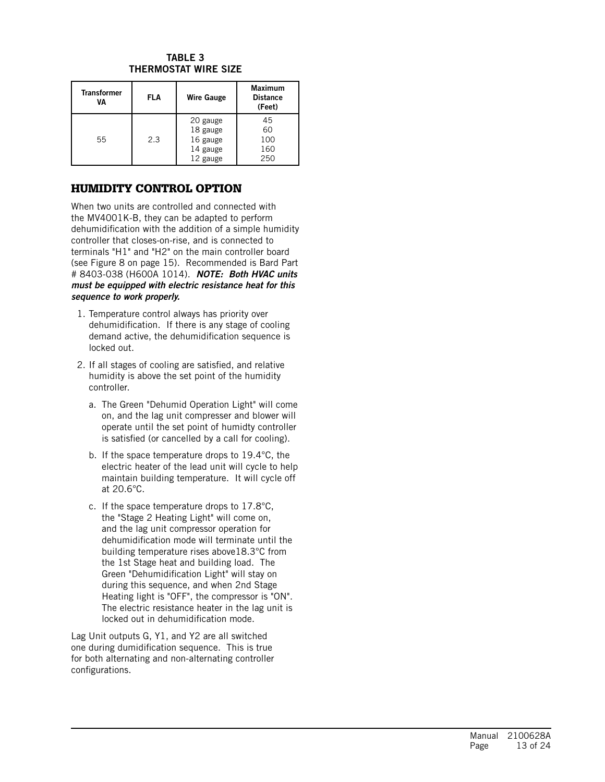#### TABLE 3 THERMOSTAT WIRE SIZE

| <b>Transformer</b><br>VA | <b>FLA</b> | <b>Wire Gauge</b>                                        | <b>Maximum</b><br><b>Distance</b><br>(Feet) |
|--------------------------|------------|----------------------------------------------------------|---------------------------------------------|
| 55                       | 2.3        | 20 gauge<br>18 gauge<br>16 gauge<br>14 gauge<br>12 gauge | 45<br>60<br>100<br>160<br>250               |

# HUMIDITY CONTROL OPTION

When two units are controlled and connected with the MV4001K-B, they can be adapted to perform dehumidification with the addition of a simple humidity controller that closes-on-rise, and is connected to terminals "H1" and "H2" on the main controller board (see Figure 8 on page 15). Recommended is Bard Part # 8403-038 (H600A 1014). *NOTE: Both HVAC units must be equipped with electric resistance heat for this sequence to work properly.*

- 1. Temperature control always has priority over dehumidification. If there is any stage of cooling demand active, the dehumidification sequence is locked out.
- 2. If all stages of cooling are satisfied, and relative humidity is above the set point of the humidity controller.
	- a. The Green "Dehumid Operation Light" will come on, and the lag unit compresser and blower will operate until the set point of humidty controller is satisfied (or cancelled by a call for cooling).
	- b. If the space temperature drops to 19.4°C, the electric heater of the lead unit will cycle to help maintain building temperature. It will cycle off at 20.6°C.
	- c. If the space temperature drops to 17.8°C, the "Stage 2 Heating Light" will come on, and the lag unit compressor operation for dehumidification mode will terminate until the building temperature rises above18.3°C from the 1st Stage heat and building load. The Green "Dehumidification Light" will stay on during this sequence, and when 2nd Stage Heating light is "OFF", the compressor is "ON". The electric resistance heater in the lag unit is locked out in dehumidification mode.

Lag Unit outputs G, Y1, and Y2 are all switched one during dumidification sequence. This is true for both alternating and non-alternating controller configurations.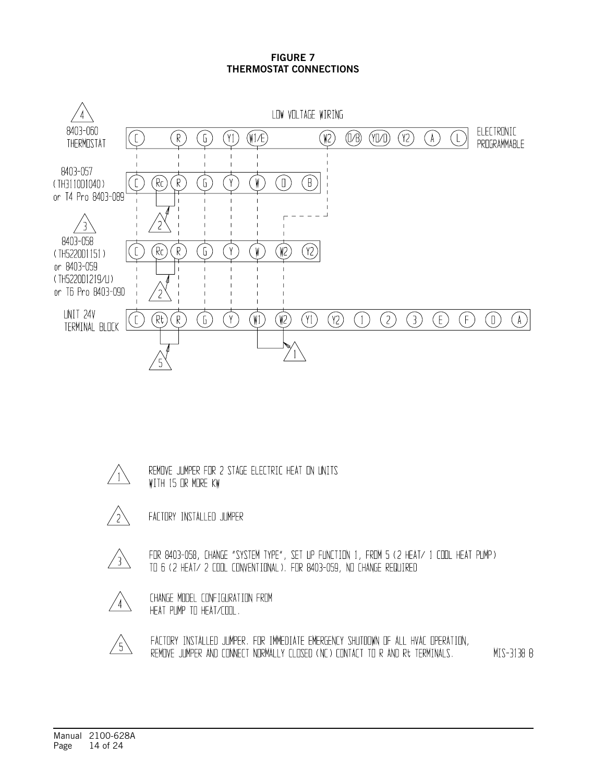#### FIGURE 7 THERMOSTAT CONNECTIONS



 $^{\prime}$  1

REMOVE JUMPER FOR 2 STAGE ELECTRIC HEAT ON UNITS WITH 15 OR MORE KW



FACTORY INSTALLED JUMPER

/ 3 /

FOR 8403-058, CHANGE "SYSTEM TYPE", SET UP FUNCTION 1, FROM 5 (2 HEAT/ 1 CODL HEAT PUMP) TO 6 (2 HEAT/ 2 COOL CONVENTIONAL). FOR 8403-059, NO CHANGE REQUIRED

 $'4'$ 

CHANGE MODEL CONFIGURATION FROM HEAT PUMP TO HEAT/COOL.



FACTORY INSTALLED JUMPER. FOR IMMEDIATE EMERGENCY SHUTDOWN OF ALL HVAC OPERATION, REMOVE JUMPER AND CONNECT NORMALLY CLOSED (NC) CONTACT TO R AND Rt TERMINALS. MIS-3138 B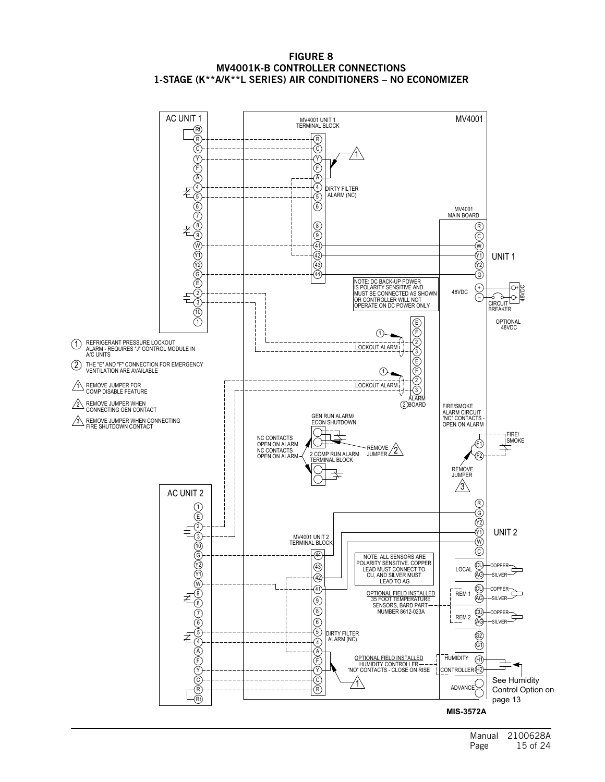

#### FIGURE 8 MV4001K-B CONTROLLER CONNECTIONS 1-STAGE (K\*\*A/K\*\*L SERIES) AIR CONDITIONERS – NO ECONOMIZER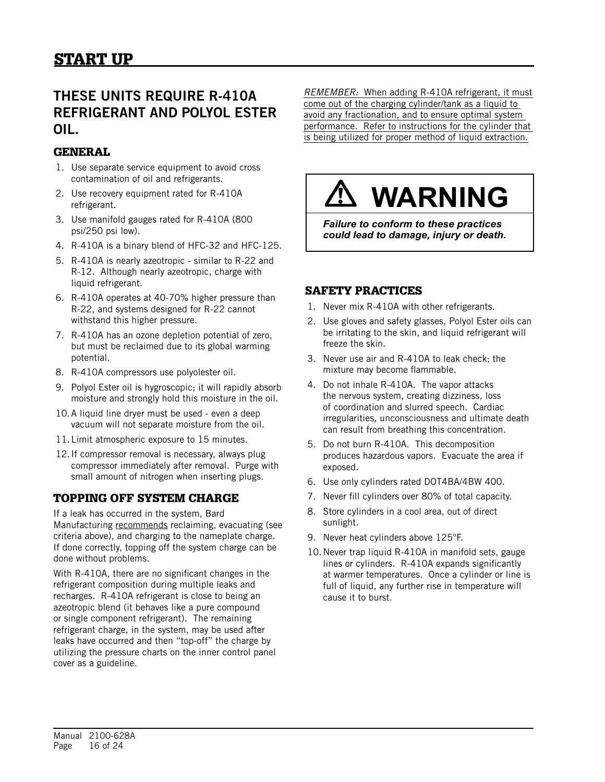# THESE UNITS REQUIRE R-410A REFRIGERANT AND POLYOL ESTER OIL.

# **GENERAL**

- 1. Use separate service equipment to avoid cross contamination of oil and refrigerants.
- 2. Use recovery equipment rated for R-410A refrigerant.
- 3. Use manifold gauges rated for R-410A (800 psi/250 psi low).
- 4. R-410A is a binary blend of HFC-32 and HFC-125.
- 5. R-410A is nearly azeotropic similar to R-22 and R-12. Although nearly azeotropic, charge with liquid refrigerant.
- 6. R-410A operates at 40-70% higher pressure than R-22, and systems designed for R-22 cannot withstand this higher pressure.
- 7. R-410A has an ozone depletion potential of zero, but must be reclaimed due to its global warming potential.
- 8. R-410A compressors use polyolester oil.
- 9. Polyol Ester oil is hygroscopic; it will rapidly absorb moisture and strongly hold this moisture in the oil.
- 10.A liquid line dryer must be used even a deep vacuum will not separate moisture from the oil.
- 11.Limit atmospheric exposure to 15 minutes.
- 12.If compressor removal is necessary, always plug compressor immediately after removal. Purge with small amount of nitrogen when inserting plugs.

# TOPPING OFF SYSTEM CHARGE

If a leak has occurred in the system, Bard Manufacturing recommends reclaiming, evacuating (see criteria above), and charging to the nameplate charge. If done correctly, topping off the system charge can be done without problems.

With R-410A, there are no significant changes in the refrigerant composition during multiple leaks and recharges. R-410A refrigerant is close to being an azeotropic blend (it behaves like a pure compound or single component refrigerant). The remaining refrigerant charge, in the system, may be used after leaks have occurred and then "top-off" the charge by utilizing the pressure charts on the inner control panel cover as a guideline.

*REMEMBER:* When adding R-410A refrigerant, it must come out of the charging cylinder/tank as a liquid to avoid any fractionation, and to ensure optimal system performance. Refer to instructions for the cylinder that is being utilized for proper method of liquid extraction.

# **WARNING**

*Failure to conform to these practices could lead to damage, injury or death.*

# SAFETY PRACTICES

- 1. Never mix R-410A with other refrigerants.
- 2. Use gloves and safety glasses, Polyol Ester oils can be irritating to the skin, and liquid refrigerant will freeze the skin.
- 3. Never use air and R-410A to leak check; the mixture may become flammable.
- 4. Do not inhale R-410A. The vapor attacks the nervous system, creating dizziness, loss of coordination and slurred speech. Cardiac irregularities, unconsciousness and ultimate death can result from breathing this concentration.
- 5. Do not burn R-410A. This decomposition produces hazardous vapors. Evacuate the area if exposed.
- 6. Use only cylinders rated DOT4BA/4BW 400.
- 7. Never fill cylinders over 80% of total capacity.
- 8. Store cylinders in a cool area, out of direct sunlight.
- 9. Never heat cylinders above 125°F.
- 10.Never trap liquid R-410A in manifold sets, gauge lines or cylinders. R-410A expands significantly at warmer temperatures. Once a cylinder or line is full of liquid, any further rise in temperature will cause it to burst.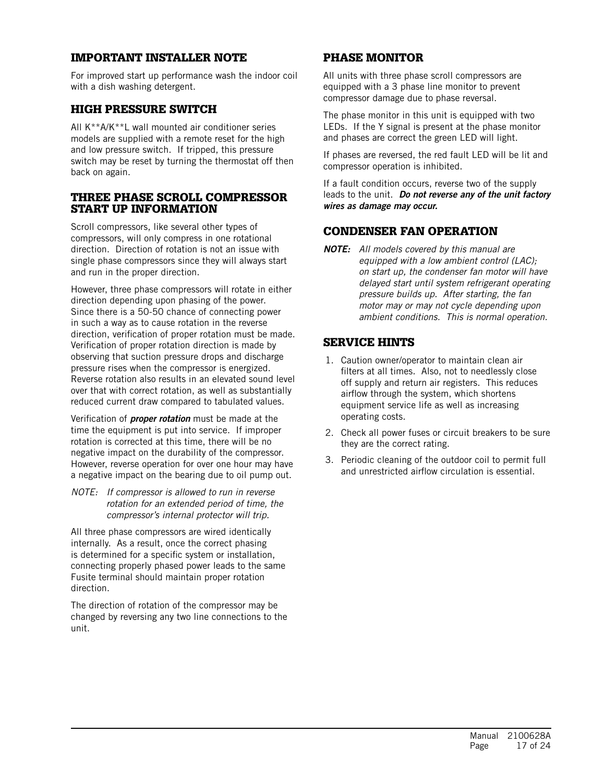# IMPORTANT INSTALLER NOTE

For improved start up performance wash the indoor coil with a dish washing detergent.

## HIGH PRESSURE SWITCH

All K\*\*A/K\*\*L wall mounted air conditioner series models are supplied with a remote reset for the high and low pressure switch. If tripped, this pressure switch may be reset by turning the thermostat off then back on again.

#### THREE PHASE SCROLL COMPRESSOR START UP INFORMATION

Scroll compressors, like several other types of compressors, will only compress in one rotational direction. Direction of rotation is not an issue with single phase compressors since they will always start and run in the proper direction.

However, three phase compressors will rotate in either direction depending upon phasing of the power. Since there is a 50-50 chance of connecting power in such a way as to cause rotation in the reverse direction, verification of proper rotation must be made. Verification of proper rotation direction is made by observing that suction pressure drops and discharge pressure rises when the compressor is energized. Reverse rotation also results in an elevated sound level over that with correct rotation, as well as substantially reduced current draw compared to tabulated values.

Verification of *proper rotation* must be made at the time the equipment is put into service. If improper rotation is corrected at this time, there will be no negative impact on the durability of the compressor. However, reverse operation for over one hour may have a negative impact on the bearing due to oil pump out.

#### *NOTE: If compressor is allowed to run in reverse rotation for an extended period of time, the compressor's internal protector will trip.*

All three phase compressors are wired identically internally. As a result, once the correct phasing is determined for a specific system or installation, connecting properly phased power leads to the same Fusite terminal should maintain proper rotation direction.

The direction of rotation of the compressor may be changed by reversing any two line connections to the unit.

# PHASE MONITOR

All units with three phase scroll compressors are equipped with a 3 phase line monitor to prevent compressor damage due to phase reversal.

The phase monitor in this unit is equipped with two LEDs. If the Y signal is present at the phase monitor and phases are correct the green LED will light.

If phases are reversed, the red fault LED will be lit and compressor operation is inhibited.

If a fault condition occurs, reverse two of the supply leads to the unit. *Do not reverse any of the unit factory wires as damage may occur.*

# CONDENSER FAN OPERATION

*NOTE: All models covered by this manual are equipped with a low ambient control (LAC); on start up, the condenser fan motor will have delayed start until system refrigerant operating pressure builds up. After starting, the fan motor may or may not cycle depending upon ambient conditions. This is normal operation.*

# SERVICE HINTS

- 1. Caution owner/operator to maintain clean air filters at all times. Also, not to needlessly close off supply and return air registers. This reduces airflow through the system, which shortens equipment service life as well as increasing operating costs.
- 2. Check all power fuses or circuit breakers to be sure they are the correct rating.
- 3. Periodic cleaning of the outdoor coil to permit full and unrestricted airflow circulation is essential.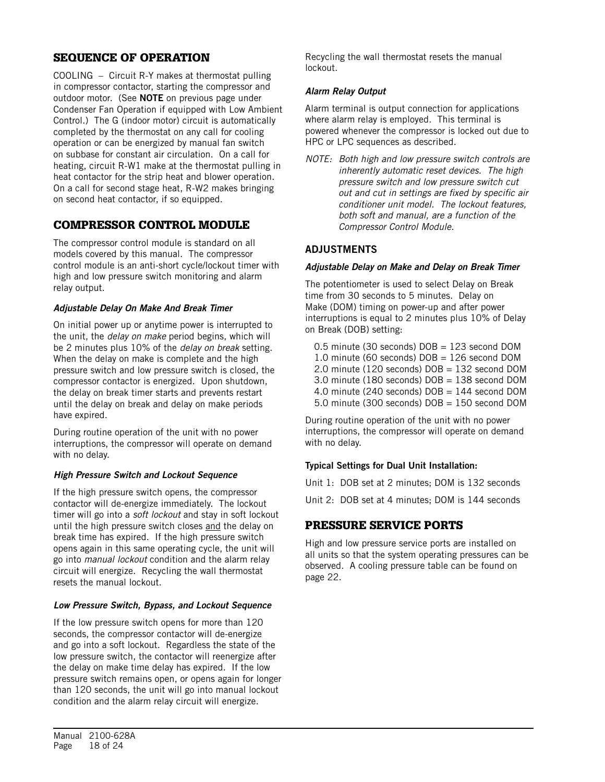# SEQUENCE OF OPERATION

COOLING – Circuit R-Y makes at thermostat pulling in compressor contactor, starting the compressor and outdoor motor. (See NOTE on previous page under Condenser Fan Operation if equipped with Low Ambient Control.) The G (indoor motor) circuit is automatically completed by the thermostat on any call for cooling operation or can be energized by manual fan switch on subbase for constant air circulation. On a call for heating, circuit R-W1 make at the thermostat pulling in heat contactor for the strip heat and blower operation. On a call for second stage heat, R-W2 makes bringing on second heat contactor, if so equipped.

# COMPRESSOR CONTROL MODULE

The compressor control module is standard on all models covered by this manual. The compressor control module is an anti-short cycle/lockout timer with high and low pressure switch monitoring and alarm relay output.

#### *Adjustable Delay On Make And Break Timer*

On initial power up or anytime power is interrupted to the unit, the *delay on make* period begins, which will be 2 minutes plus 10% of the *delay on break* setting. When the delay on make is complete and the high pressure switch and low pressure switch is closed, the compressor contactor is energized. Upon shutdown, the delay on break timer starts and prevents restart until the delay on break and delay on make periods have expired.

During routine operation of the unit with no power interruptions, the compressor will operate on demand with no delay.

#### *High Pressure Switch and Lockout Sequence*

If the high pressure switch opens, the compressor contactor will de-energize immediately. The lockout timer will go into a *soft lockout* and stay in soft lockout until the high pressure switch closes and the delay on break time has expired. If the high pressure switch opens again in this same operating cycle, the unit will go into *manual lockout* condition and the alarm relay circuit will energize. Recycling the wall thermostat resets the manual lockout.

#### *Low Pressure Switch, Bypass, and Lockout Sequence*

If the low pressure switch opens for more than 120 seconds, the compressor contactor will de-energize and go into a soft lockout. Regardless the state of the low pressure switch, the contactor will reenergize after the delay on make time delay has expired. If the low pressure switch remains open, or opens again for longer than 120 seconds, the unit will go into manual lockout condition and the alarm relay circuit will energize.

Recycling the wall thermostat resets the manual lockout.

#### *Alarm Relay Output*

Alarm terminal is output connection for applications where alarm relay is employed. This terminal is powered whenever the compressor is locked out due to HPC or LPC sequences as described.

*NOTE: Both high and low pressure switch controls are inherently automatic reset devices. The high pressure switch and low pressure switch cut out and cut in settings are fixed by specific air conditioner unit model. The lockout features, both soft and manual, are a function of the Compressor Control Module.* 

### ADJUSTMENTS

#### *Adjustable Delay on Make and Delay on Break Timer*

The potentiometer is used to select Delay on Break time from 30 seconds to 5 minutes. Delay on Make (DOM) timing on power-up and after power interruptions is equal to 2 minutes plus 10% of Delay on Break (DOB) setting:

0.5 minute (30 seconds) DOB = 123 second DOM 1.0 minute (60 seconds)  $DOB = 126$  second DOM 2.0 minute (120 seconds) DOB = 132 second DOM 3.0 minute (180 seconds) DOB = 138 second DOM 4.0 minute (240 seconds)  $DOB = 144$  second DOM 5.0 minute (300 seconds)  $DOB = 150$  second  $DOM$ 

During routine operation of the unit with no power interruptions, the compressor will operate on demand with no delay.

#### Typical Settings for Dual Unit Installation:

Unit 1: DOB set at 2 minutes; DOM is 132 seconds

Unit 2: DOB set at 4 minutes; DOM is 144 seconds

# PRESSURE SERVICE PORTS

High and low pressure service ports are installed on all units so that the system operating pressures can be observed. A cooling pressure table can be found on page 22.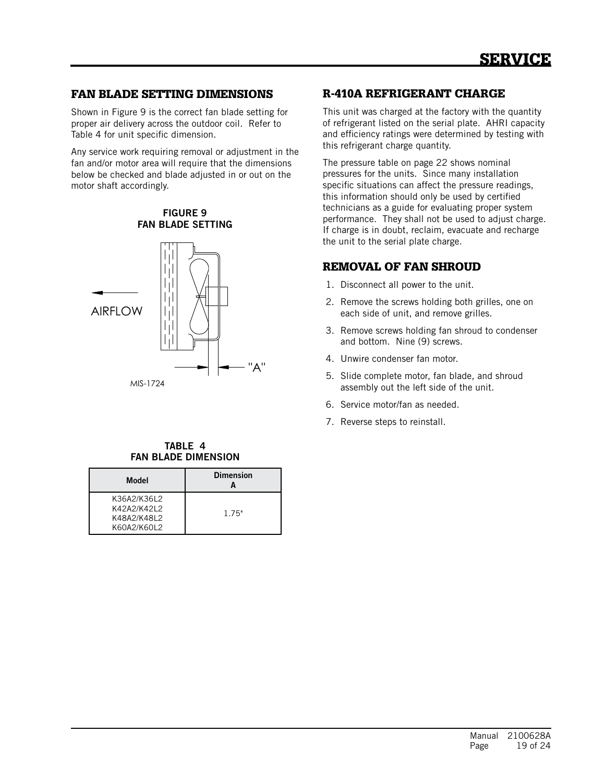# FAN BLADE SETTING DIMENSIONS

Shown in Figure 9 is the correct fan blade setting for proper air delivery across the outdoor coil. Refer to Table 4 for unit specific dimension.

Any service work requiring removal or adjustment in the fan and/or motor area will require that the dimensions below be checked and blade adjusted in or out on the motor shaft accordingly.

FIGURE 9 FAN BLADE SETTING



#### TABLE 4 FAN BLADE DIMENSION

| Model                                                    | <b>Dimension</b> |
|----------------------------------------------------------|------------------|
| K36A2/K36L2<br>K42A2/K42L2<br>K48A2/K48L2<br>K60A2/K60L2 | 1.75"            |

## R-410A REFRIGERANT CHARGE

This unit was charged at the factory with the quantity of refrigerant listed on the serial plate. AHRI capacity and efficiency ratings were determined by testing with this refrigerant charge quantity.

The pressure table on page 22 shows nominal pressures for the units. Since many installation specific situations can affect the pressure readings, this information should only be used by certified technicians as a guide for evaluating proper system performance. They shall not be used to adjust charge. If charge is in doubt, reclaim, evacuate and recharge the unit to the serial plate charge.

# REMOVAL OF FAN SHROUD

- 1. Disconnect all power to the unit.
- 2. Remove the screws holding both grilles, one on each side of unit, and remove grilles.
- 3. Remove screws holding fan shroud to condenser and bottom. Nine (9) screws.
- 4. Unwire condenser fan motor.
- 5. Slide complete motor, fan blade, and shroud assembly out the left side of the unit.
- 6. Service motor/fan as needed.
- 7. Reverse steps to reinstall.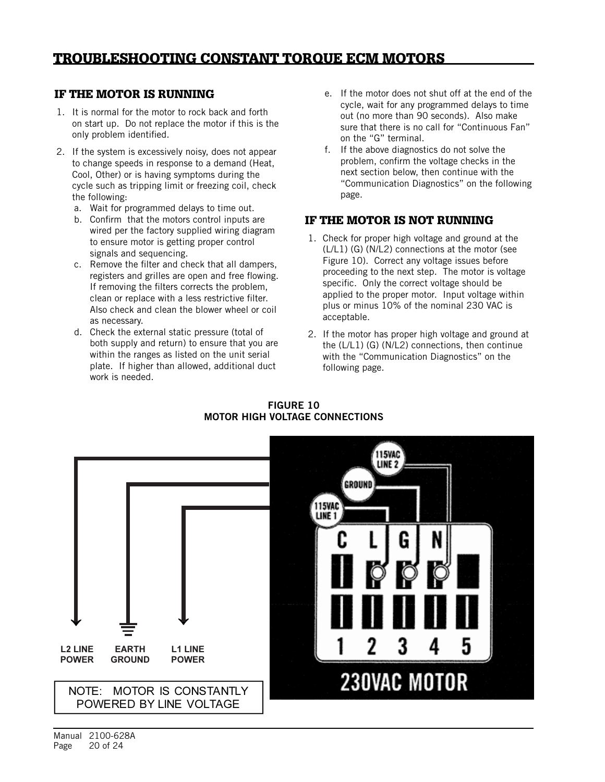# IF THE MOTOR IS RUNNING

- 1. It is normal for the motor to rock back and forth on start up. Do not replace the motor if this is the only problem identified. out (no more than 90 seconds). Also make the motor to rock back and forth<br>The sout (no more than 90 seconds). Also make
- 2. If the system is excessively noisy, does not appear to change speeds in response to a demand (Heat, Cool, Other) or is having symptoms during the cycle such as tripping limit or freezing coil, check the following: The system is excessively not appear to change to change to change to change to change to change to change to change the system of the system of the system of the system of the system of the system of the sy
- a. Wait for programmed delays to time out.
- b. Confirm that the motors control inputs are wired per the factory supplied wiring diagram to ensure motor is getting proper control signals and sequencing. to chance motor is getting proper control
	- c. Remove the filter and check that all dampers, registers and grilles are open and free flowing. If removing the filters corrects the problem, clean or replace with a less restrictive filter. Also check and clean the blower wheel or coil filter. Also check and clean the blower wheel or coil as as necessary. nisu (
	- d. Check the external static pressure (total of both supply and return) to ensure that you are within the ranges as listed on the unit serial plate. If higher than allowed, additional duct work is needed.
- e. If the motor does not shut off at the end of the cycle, wait for any programmed delays to time sure that there is no call for "Continuous Fan" on the "G" terminal.
- of the determinal.<br>2. If the system is excessively noisy, does not appear<br>2. If the above diagnostics do not solve the problem, confirm the voltage checks in the problem, community voltage enters in the motor method is not the motor motor and the motor at the motor at the motor and the motor method. "Communication Diagnostics" on the following page. The "G" terminal on the "G" terminal. riext section below, then continue with

#### IF THE MOTOR IS NOT RUNNING the Motor IS Not Rommin

- 1. Check for proper high voltage and ground at the  $(L/L1)$  (G) (N/L2) connections at the motor (see Figure 10). Correct any voltage issues before proceeding to the next step. The motor is voltage specific. Only the correct voltage should be applied to the proper motor. Input voltage within applied to the proper motor. Their vortage with<br>plus or minus 10% of the nominal 230 VAC is acceptable. 2. Proper has proper high voltage and ground at the formula at the control of  $\frac{1}{2}$
- 2. If the motor has proper high voltage and ground at the (L/L1) (G) (N/L2) connections, then continue with the "Communication Diagnostics" on the following page.



FIGURE 10 MOTOR HIGH VOLTAGE CONNECTIONS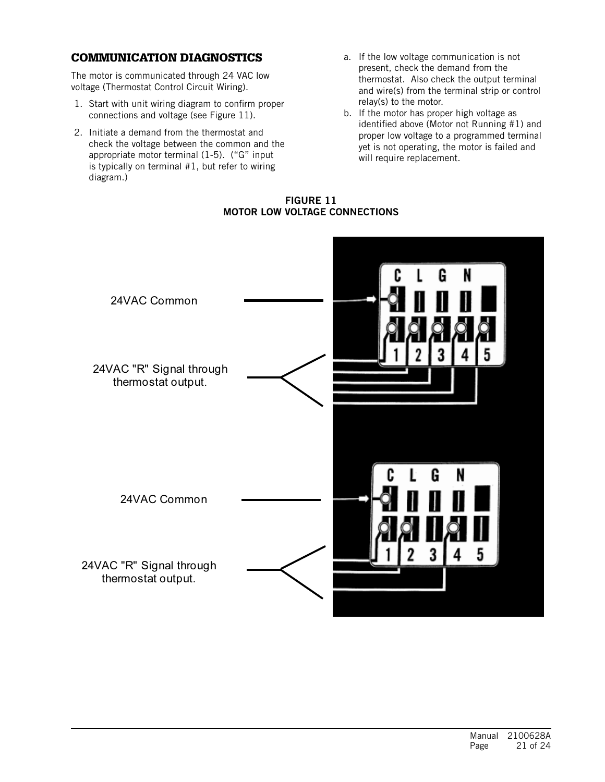#### **COMMUNICATION DIAGNOSTICS** commonionition *b*indu

The motor is communicated through 24 VAC low voltage (Thermostat Control Circuit Wiring).

- 1. Start with unit wiring diagram to confirm proper connections and voltage (see Figure 11).
- 2. Initiate a demand from the thermostat and check the voltage between the common and the appropriate motor terminal (1-5). ("G" input is typically on terminal #1, but refer to wiring diagram.)
- refer to wiring diagram!) a. If the low voltage communication is not present, check the demand from the thermostat. Also check the output terminal and wire(s) from the terminal strip or control relay(s) to the motor.
	- b. If the motor has proper high voltage as identified above (Motor not Running #1) and proper low voltage to a programmed terminal yet is not operating, the motor is failed and will require replacement.

FIGURE 11 FIGURE 11 MOTOR LOW VOLTAGE CONNECTIONS

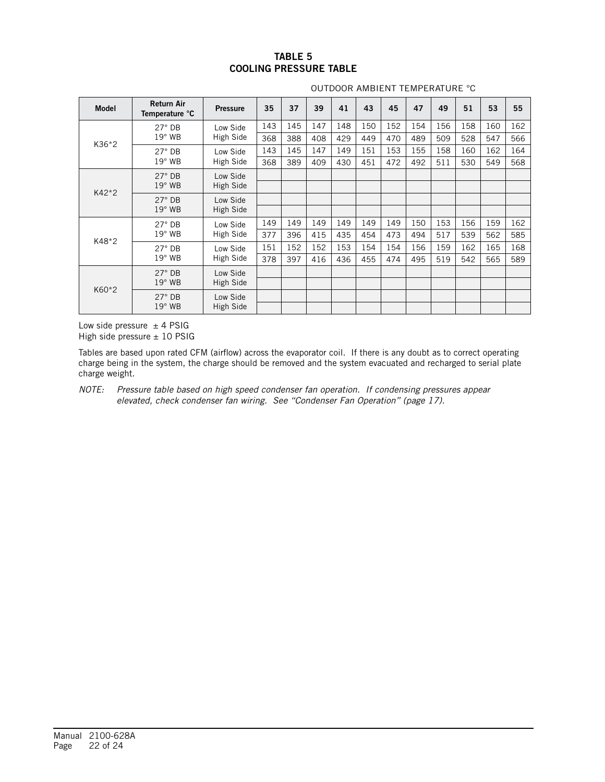#### TABLE 5 COOLING PRESSURE TABLE

| <b>Model</b>  | <b>Return Air</b><br>Temperature °C | <b>Pressure</b>       | 35  | 37  | 39  | 41  | 43  | 45  | 47  | 49  | 51  | 53  | 55  |
|---------------|-------------------------------------|-----------------------|-----|-----|-----|-----|-----|-----|-----|-----|-----|-----|-----|
|               | $27^\circ$ DB                       | Low Side              | 143 | 145 | 147 | 148 | 150 | 152 | 154 | 156 | 158 | 160 | 162 |
| K36*2         | $19°$ WB                            | High Side             | 368 | 388 | 408 | 429 | 449 | 470 | 489 | 509 | 528 | 547 | 566 |
|               | $27^\circ$ DB                       | Low Side              | 143 | 145 | 147 | 149 | 151 | 153 | 155 | 158 | 160 | 162 | 164 |
|               | $19°$ WB                            | High Side             | 368 | 389 | 409 | 430 | 451 | 472 | 492 | 511 | 530 | 549 | 568 |
| $27^\circ$ DB |                                     | Low Side              |     |     |     |     |     |     |     |     |     |     |     |
| K42*2         | $19°$ WB                            | High Side             |     |     |     |     |     |     |     |     |     |     |     |
|               | $27^\circ$ DB                       | Low Side<br>High Side |     |     |     |     |     |     |     |     |     |     |     |
|               | $19°$ WB                            |                       |     |     |     |     |     |     |     |     |     |     |     |
|               | $27^\circ$ DB                       | Low Side<br>High Side | 149 | 149 | 149 | 149 | 149 | 149 | 150 | 153 | 156 | 159 | 162 |
|               | $19°$ WB                            |                       | 377 | 396 | 415 | 435 | 454 | 473 | 494 | 517 | 539 | 562 | 585 |
| K48*2         | $27^\circ$ DB                       | Low Side<br>High Side | 151 | 152 | 152 | 153 | 154 | 154 | 156 | 159 | 162 | 165 | 168 |
|               | $19^\circ$ WB                       |                       | 378 | 397 | 416 | 436 | 455 | 474 | 495 | 519 | 542 | 565 | 589 |
| K60*2         | $27^\circ$ DB                       | Low Side<br>High Side |     |     |     |     |     |     |     |     |     |     |     |
|               | $19^\circ$ WB                       |                       |     |     |     |     |     |     |     |     |     |     |     |
|               | $27^\circ$ DB                       | Low Side              |     |     |     |     |     |     |     |     |     |     |     |
|               | $19^\circ$ WB                       | High Side             |     |     |     |     |     |     |     |     |     |     |     |

#### OUTDOOR AMBIENT TEMPERATURE °C

Low side pressure  $\pm$  4 PSIG High side pressure  $\pm$  10 PSIG

Tables are based upon rated CFM (airflow) across the evaporator coil. If there is any doubt as to correct operating charge being in the system, the charge should be removed and the system evacuated and recharged to serial plate charge weight.

*NOTE: Pressure table based on high speed condenser fan operation. If condensing pressures appear elevated, check condenser fan wiring. See "Condenser Fan Operation" (page 17).*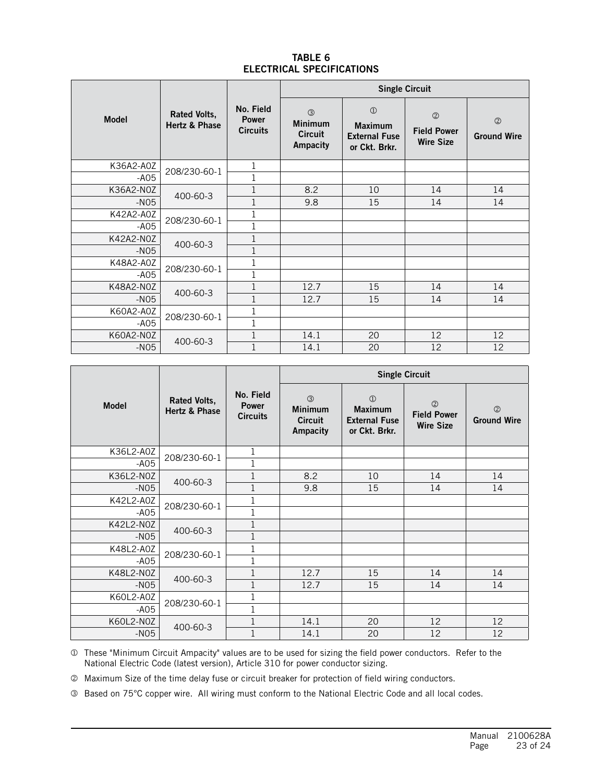#### TABLE 6 ELECTRICAL SPECIFICATIONS

|              |                                      |                                              | <b>Single Circuit</b>                               |                                                                          |                                                         |                                      |  |
|--------------|--------------------------------------|----------------------------------------------|-----------------------------------------------------|--------------------------------------------------------------------------|---------------------------------------------------------|--------------------------------------|--|
| <b>Model</b> | <b>Rated Volts,</b><br>Hertz & Phase | No. Field<br><b>Power</b><br><b>Circuits</b> | (3)<br><b>Minimum</b><br><b>Circuit</b><br>Ampacity | $\circled{1}$<br><b>Maximum</b><br><b>External Fuse</b><br>or Ckt. Brkr. | $\circled{2}$<br><b>Field Power</b><br><b>Wire Size</b> | $\circledcirc$<br><b>Ground Wire</b> |  |
| K36A2-A0Z    |                                      | 1                                            |                                                     |                                                                          |                                                         |                                      |  |
| $-AO5$       | 208/230-60-1                         |                                              |                                                     |                                                                          |                                                         |                                      |  |
| K36A2-N0Z    | 400-60-3                             |                                              | 8.2                                                 | 10                                                                       | 14                                                      | 14                                   |  |
| $-N05$       |                                      | 1                                            | 9.8                                                 | 15                                                                       | 14                                                      | 14                                   |  |
| K42A2-A0Z    | 208/230-60-1                         |                                              |                                                     |                                                                          |                                                         |                                      |  |
| $-AO5$       |                                      |                                              |                                                     |                                                                          |                                                         |                                      |  |
| K42A2-N0Z    | 400-60-3                             | 1                                            |                                                     |                                                                          |                                                         |                                      |  |
| $-N05$       |                                      | 1                                            |                                                     |                                                                          |                                                         |                                      |  |
| K48A2-A0Z    | 208/230-60-1                         |                                              |                                                     |                                                                          |                                                         |                                      |  |
| $-AO5$       |                                      | 1                                            |                                                     |                                                                          |                                                         |                                      |  |
| K48A2-N0Z    | 400-60-3                             |                                              | 12.7                                                | 15                                                                       | 14                                                      | 14                                   |  |
| $-N05$       |                                      | 1                                            | 12.7                                                | 15                                                                       | 14                                                      | 14                                   |  |
| K60A2-A0Z    |                                      |                                              |                                                     |                                                                          |                                                         |                                      |  |
| $-AO5$       | 208/230-60-1                         | $\mathbf 1$                                  |                                                     |                                                                          |                                                         |                                      |  |
| K60A2-N0Z    |                                      | 1                                            | 14.1                                                | 20                                                                       | 12                                                      | 12                                   |  |
| $-N05$       | 400-60-3                             |                                              | 14.1                                                | 20                                                                       | 12                                                      | 12                                   |  |

|              |                                      |                                              | <b>Single Circuit</b>                                                |                                                                          |                                                         |                                      |  |
|--------------|--------------------------------------|----------------------------------------------|----------------------------------------------------------------------|--------------------------------------------------------------------------|---------------------------------------------------------|--------------------------------------|--|
| <b>Model</b> | <b>Rated Volts,</b><br>Hertz & Phase | No. Field<br><b>Power</b><br><b>Circuits</b> | $\circled{3}$<br><b>Minimum</b><br><b>Circuit</b><br><b>Ampacity</b> | $\circled{1}$<br><b>Maximum</b><br><b>External Fuse</b><br>or Ckt. Brkr. | $\circled{2}$<br><b>Field Power</b><br><b>Wire Size</b> | $\circledcirc$<br><b>Ground Wire</b> |  |
| K36L2-A0Z    | 208/230-60-1                         | 1                                            |                                                                      |                                                                          |                                                         |                                      |  |
| $-AO5$       |                                      | $\mathbf{1}$                                 |                                                                      |                                                                          |                                                         |                                      |  |
| K36L2-N0Z    | 400-60-3                             | $\mathbf{1}$                                 | 8.2                                                                  | 10                                                                       | 14                                                      | 14                                   |  |
| $-N05$       |                                      | 1                                            | 9.8                                                                  | 15                                                                       | 14                                                      | 14                                   |  |
| K42L2-A0Z    |                                      | $\mathbf 1$                                  |                                                                      |                                                                          |                                                         |                                      |  |
| $-AO5$       | 208/230-60-1                         | $\mathbf{1}$                                 |                                                                      |                                                                          |                                                         |                                      |  |
| K42L2-N0Z    |                                      | 1                                            |                                                                      |                                                                          |                                                         |                                      |  |
| $-N05$       | 400-60-3                             | 1                                            |                                                                      |                                                                          |                                                         |                                      |  |
| K48L2-A0Z    |                                      | $\mathbf 1$                                  |                                                                      |                                                                          |                                                         |                                      |  |
| $-AO5$       | 208/230-60-1                         | 1                                            |                                                                      |                                                                          |                                                         |                                      |  |
| K48L2-N0Z    |                                      | 1                                            | 12.7                                                                 | 15                                                                       | 14                                                      | 14                                   |  |
| $-N05$       | 400-60-3                             | $\mathbf{1}$                                 | 12.7                                                                 | 15                                                                       | 14                                                      | 14                                   |  |
| K60L2-A0Z    |                                      |                                              |                                                                      |                                                                          |                                                         |                                      |  |
| $-AO5$       | 208/230-60-1                         | 1                                            |                                                                      |                                                                          |                                                         |                                      |  |
| K60L2-N0Z    |                                      | $\mathbf 1$                                  | 14.1                                                                 | 20                                                                       | 12                                                      | 12                                   |  |
| $-N05$       | 400-60-3                             | $\mathbf 1$                                  | 14.1                                                                 | 20                                                                       | 12                                                      | 12                                   |  |

 These "Minimum Circuit Ampacity" values are to be used for sizing the field power conductors. Refer to the National Electric Code (latest version), Article 310 for power conductor sizing.

Maximum Size of the time delay fuse or circuit breaker for protection of field wiring conductors.

Based on 75°C copper wire. All wiring must conform to the National Electric Code and all local codes.